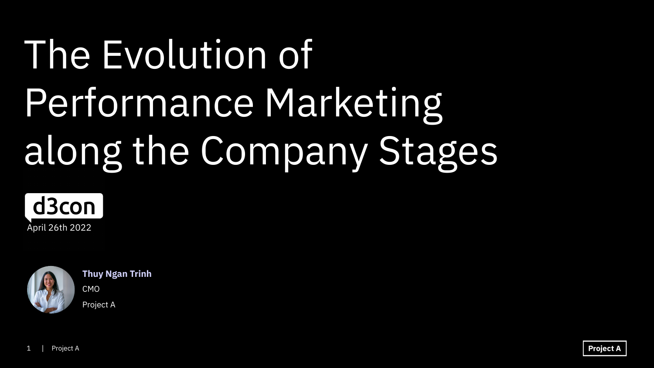# The Evolution of Performance Marketing along the Company Stages





**Thuy Ngan Trinh**

CMO Project A

**Project A**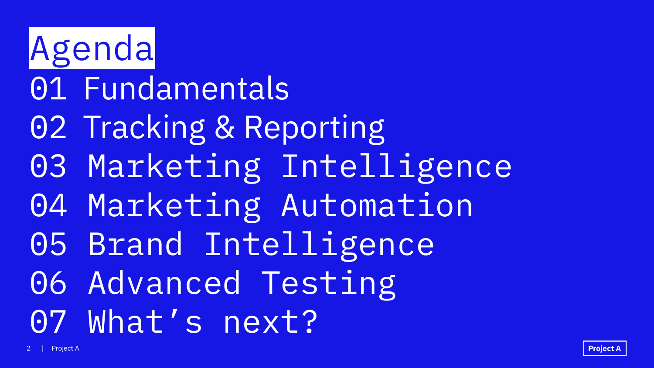Agenda 01 Fundamentals 02 Tracking & Reporting 03 Marketing Intelligence 04 Marketing Automation 05 Brand Intelligence 06 Advanced Testing 07 What's next?

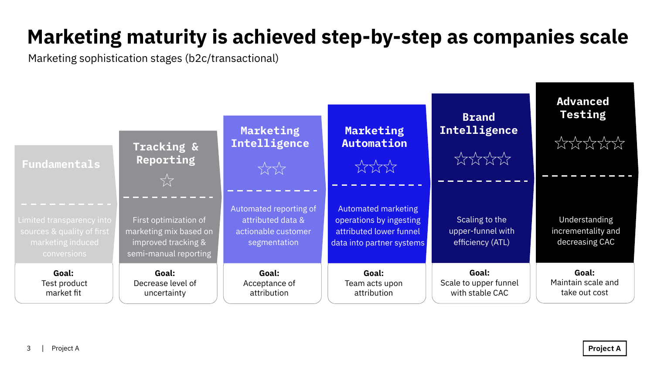

Scaling to the upper-funnel with efficiency (ATL)

**Goal:** Scale to upper funnel with stable CAC

#### **Brand Intelligence**

 $XXXX$ 

Understanding incrementality and decreasing CAC

**Goal:** Maintain scale and take out cost

**Project A** 

#### **Advanced Testing**

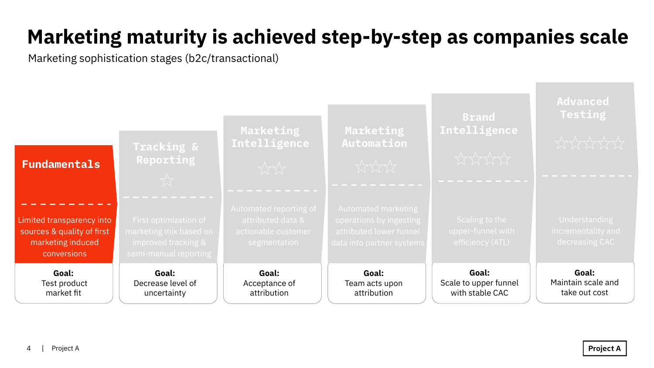**Goal:** Scale to upper funnel with stable CAC



#### **Brand Intelligence**

**Goal:** Maintain scale and take out cost

#### **Advanced Testing**

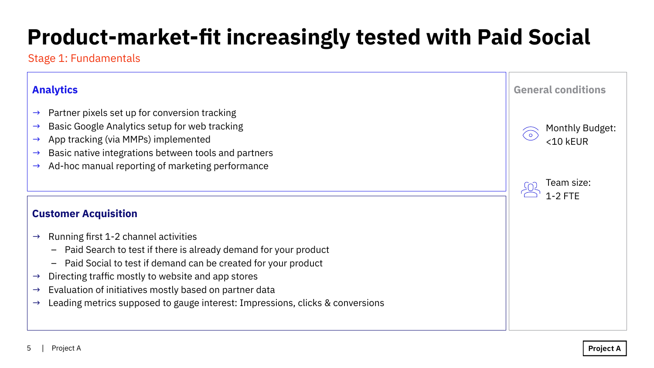#### **Customer Acquisition**

- $\rightarrow$  Running first 1-2 channel activities
	- Paid Search to test if there is already demand for your product
	- Paid Social to test if demand can be created for your product
- $\rightarrow$  Directing traffic mostly to website and app stores
- $\rightarrow$  Evaluation of initiatives mostly based on partner data
- $\rightarrow$  Leading metrics supposed to gauge interest: Impressions, clicks & conversions

## **Product-market-fit increasingly tested with Paid Social**

#### Stage 1: Fundamentals

#### **Analytics**

- $\rightarrow$  Partner pixels set up for conversion tracking
- $\rightarrow$  Basic Google Analytics setup for web tracking
- $\rightarrow$  App tracking (via MMPs) implemented
- $\rightarrow$  Basic native integrations between tools and partners
- $\rightarrow$  Ad-hoc manual reporting of marketing performance

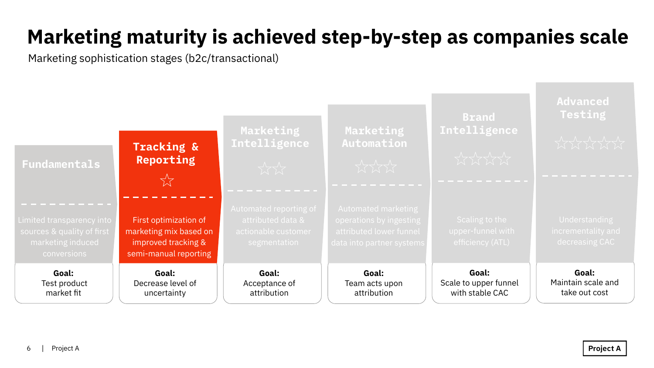**Goal:** Scale to upper funnel with stable CAC



#### **Brand Intelligence**

**Goal:** Maintain scale and take out cost

#### **Advanced Testing**

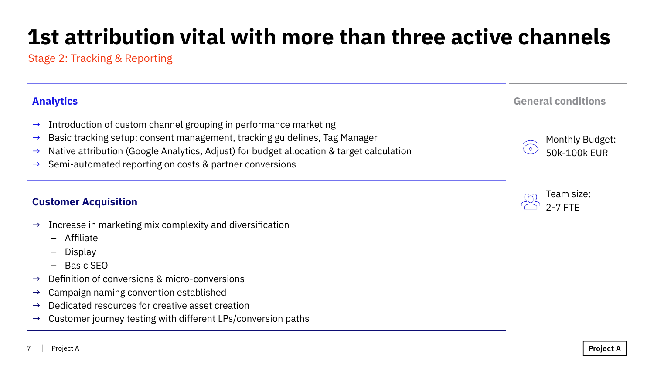

Project A

## **1st attribution vital with more than three active channels**

Stage 2: Tracking & Reporting

#### **Analytics**

- $\rightarrow$  Introduction of custom channel grouping in performance marketing
- $\rightarrow$  Basic tracking setup: consent management, tracking guidelines, Tag Manager
- → Native attribution (Google Analytics, Adjust) for budget allocation & target calculation
- $\rightarrow$  Semi-automated reporting on costs & partner conversions

- $\rightarrow$  Increase in marketing mix complexity and diversification
	- Affiliate
	- Display
	- Basic SEO
- $\rightarrow$  Definition of conversions & micro-conversions
- $\rightarrow$  Campaign naming convention established
- $\rightarrow$  Dedicated resources for creative asset creation
- $\rightarrow$  Customer journey testing with different LPs/conversion paths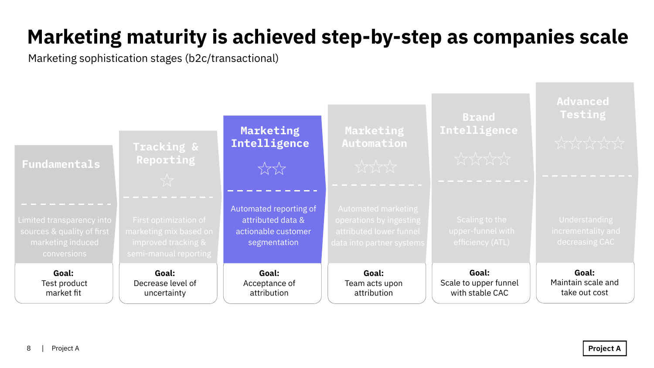**Goal:** Scale to upper funnel with stable CAC

#### **Brand Intelligence**

**Goal:** Maintain scale and take out cost



#### **Advanced Testing**

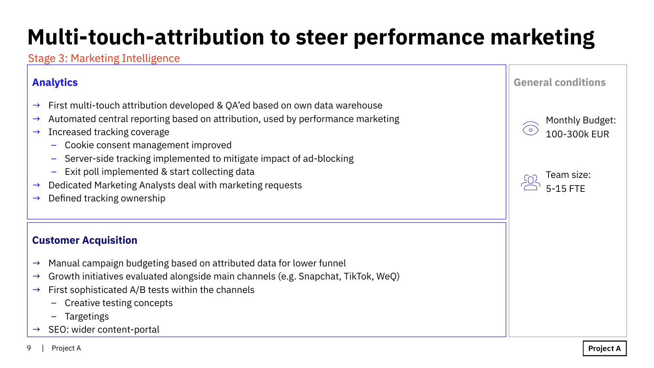### **Customer Acquisition**

- $\rightarrow$  Manual campaign budgeting based on attributed data for lower funnel
- $\rightarrow$  Growth initiatives evaluated alongside main channels (e.g. Snapchat, TikTok, WeQ)
- $\rightarrow$  First sophisticated A/B tests within the channels
	- Creative testing concepts
	- Targetings
- SEO: wider content-portal

## **Multi-touch-attribution to steer performance marketing**

### Stage 3: Marketing Intelligence



**Project A** 

### **Analytics**

- $\rightarrow$  First multi-touch attribution developed & QA'ed based on own data warehouse
- $\rightarrow$  Automated central reporting based on attribution, used by performance marketing
- $\rightarrow$  Increased tracking coverage
	- Cookie consent management improved
	- Server-side tracking implemented to mitigate impact of ad-blocking
	- Exit poll implemented & start collecting data
- $\rightarrow$  Dedicated Marketing Analysts deal with marketing requests
- $\rightarrow$  Defined tracking ownership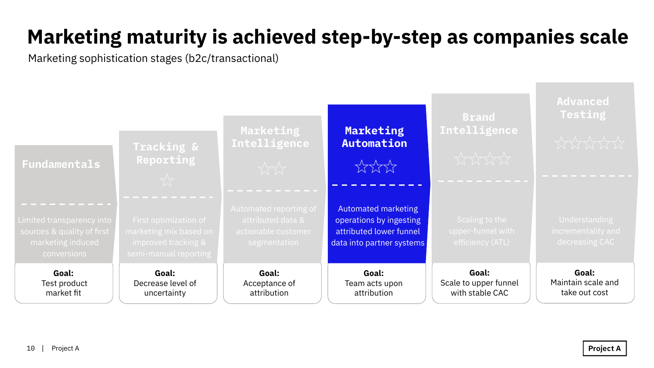

**Goal:** Scale to upper funnel with stable CAC

#### **Brand Intelligence**

**Goal:** Maintain scale and take out cost

#### **Advanced Testing**

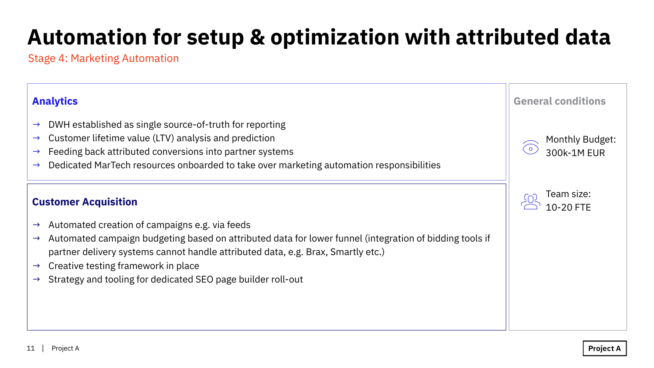### **Automation for setup & optimization with attributed data**

#### **Customer Acquisition**

- $\rightarrow$  Automated creation of campaigns e.g. via feeds
- $\rightarrow$  Automated campaign budgeting based on attributed data for lower funnel (integration of bidding tools if partner delivery systems cannot handle attributed data, e.g. Brax, Smartly etc.)
- $\rightarrow$  Creative testing framework in place
- $\rightarrow$  Strategy and tooling for dedicated SEO page builder roll-out

Stage 4: Marketing Automation

#### **Analytics**

- $\rightarrow$  DWH established as single source-of-truth for reporting
- $\rightarrow$  Customer lifetime value (LTV) analysis and prediction
- $\rightarrow$  Feeding back attributed conversions into partner systems
- $\rightarrow$  Dedicated MarTech resources onboarded to take over marketing automation responsibilities

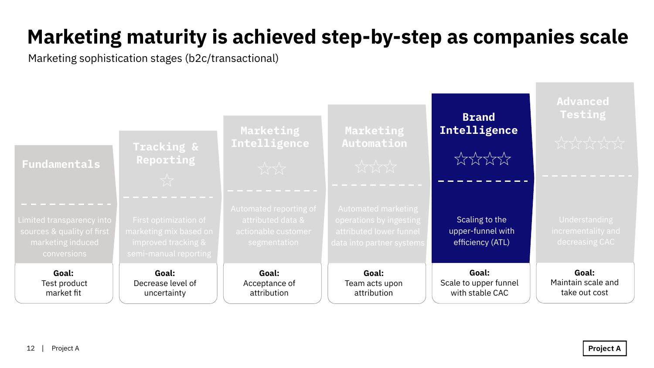Scaling to the upper-funnel with efficiency (ATL)

**Goal:** Scale to upper funnel with stable CAC



#### **Brand Intelligence**



**Goal:** Maintain scale and take out cost

#### **Advanced Testing**

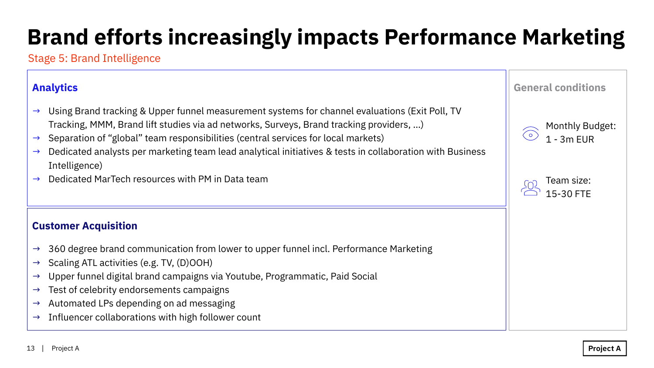#### **Customer Acquisition**

- $\rightarrow$  360 degree brand communication from lower to upper funnel incl. Performance Marketing
- $\rightarrow$  Scaling ATL activities (e.g. TV, (D)OOH)
- $\rightarrow$  Upper funnel digital brand campaigns via Youtube, Programmatic, Paid Social
- $\rightarrow$  Test of celebrity endorsements campaigns
- $\rightarrow$  Automated LPs depending on ad messaging
- $\rightarrow$  Influencer collaborations with high follower count

#### **Analytics**

- $\rightarrow$  Using Brand tracking & Upper funnel measurement systems for channel evaluations (Exit Poll, TV Tracking, MMM, Brand lift studies via ad networks, Surveys, Brand tracking providers, …)
- $\rightarrow$  Separation of "global" team responsibilities (central services for local markets)
- $\rightarrow$  Dedicated analysts per marketing team lead analytical initiatives & tests in collaboration with Business Intelligence)
- $\rightarrow$  Dedicated MarTech resources with PM in Data team

Stage 5: Brand Intelligence



## **Brand efforts increasingly impacts Performance Marketing**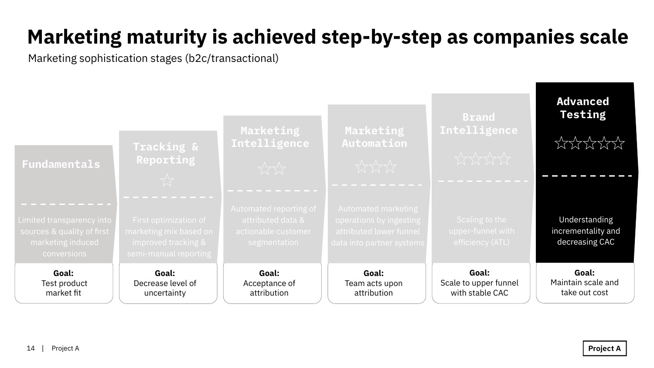**Goal:** Scale to upper funnel with stable CAC



#### **Brand Intelligence**

Understanding incrementality and decreasing CAC

**Goal:** Maintain scale and take out cost

**Project A** 

**Advanced Testing**

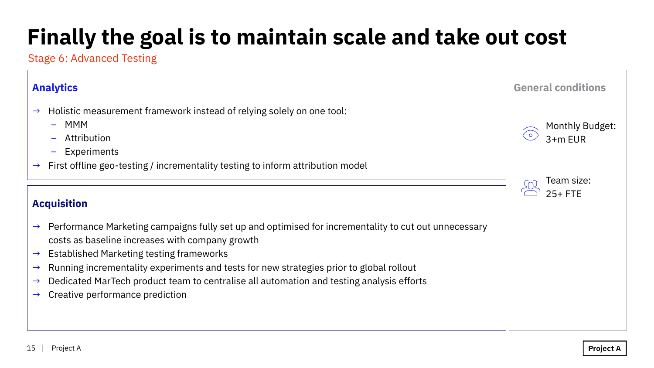#### **Acquisition**

- $\rightarrow$  Performance Marketing campaigns fully set up and optimised for incrementality to cut out unnecessary costs as baseline increases with company growth
- $\rightarrow$  Established Marketing testing frameworks
- $\rightarrow$  Running incrementality experiments and tests for new strategies prior to global rollout
- $\rightarrow$  Dedicated MarTech product team to centralise all automation and testing analysis efforts
- $\rightarrow$  Creative performance prediction

## **Finally the goal is to maintain scale and take out cost**

#### **Analytics**

- $\rightarrow$  Holistic measurement framework instead of relying solely on one tool:
	- MMM
	- Attribution
	- Experiments
- $\rightarrow$  First offline geo-testing / incrementality testing to inform attribution model

Stage 6: Advanced Testing

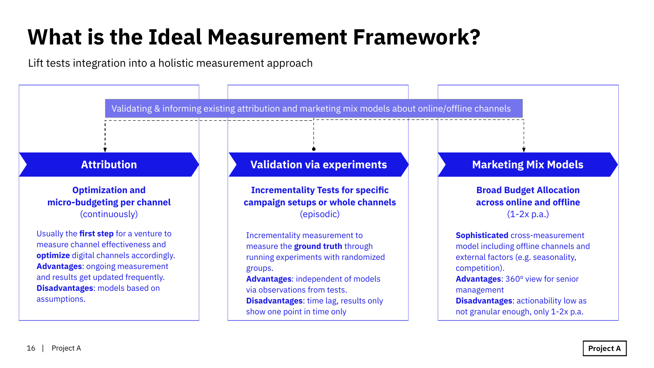Lift tests integration into a holistic measurement approach

### **What is the Ideal Measurement Framework?**

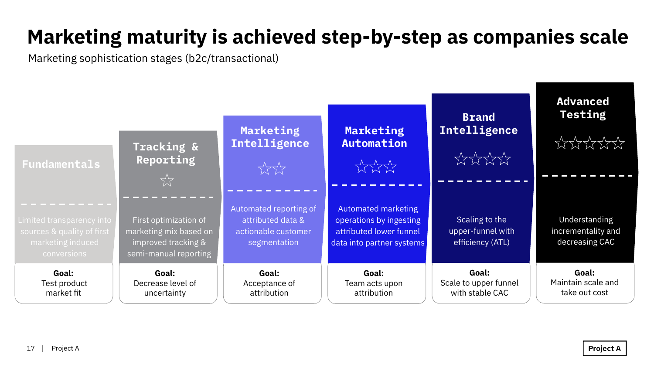

Scaling to the upper-funnel with efficiency (ATL)

**Goal:** Scale to upper funnel with stable CAC

#### **Brand Intelligence**

 $XXXX$ 

Understanding incrementality and decreasing CAC

**Goal:** Maintain scale and take out cost

**Project A** 

#### **Advanced Testing**

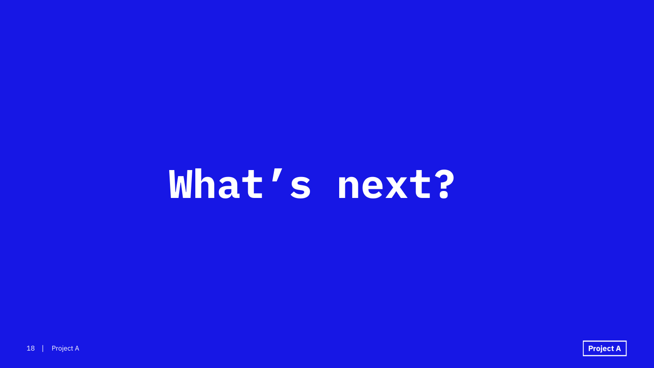# **What's next?**

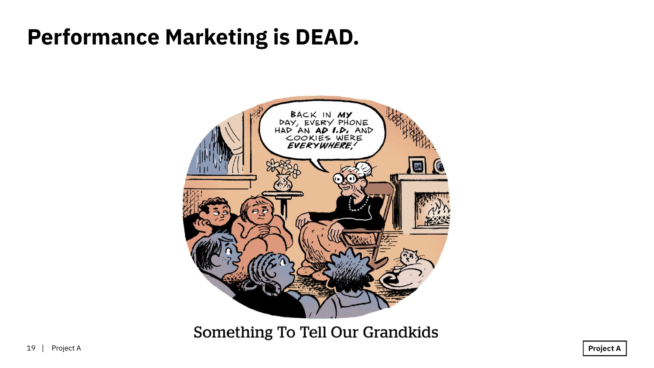### **Performance Marketing is DEAD.**



Something To Tell Our Grandkids